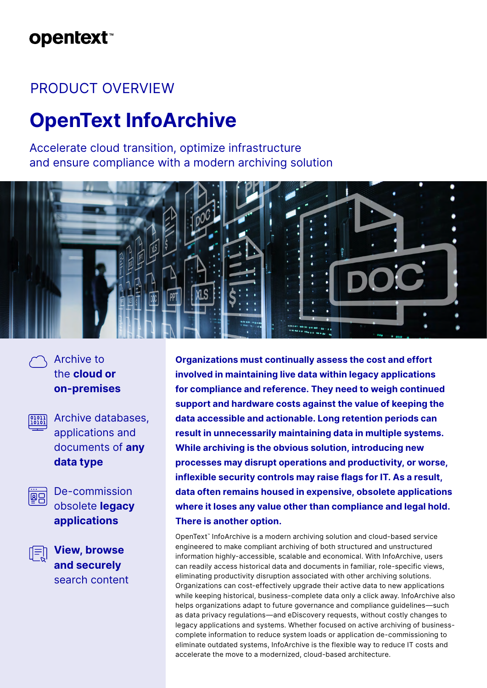## **opentext**™

### PRODUCT OVERVIEW

# **OpenText InfoArchive**

Accelerate cloud transition, optimize infrastructure and ensure compliance with a modern archiving solution



Archive to the **cloud or on-premises**

**Mission** Archive databases, applications and documents of **any data type**



De-commission obsolete **legacy applications**

**View, browse and securely** search content **Organizations must continually assess the cost and effort involved in maintaining live data within legacy applications for compliance and reference. They need to weigh continued support and hardware costs against the value of keeping the data accessible and actionable. Long retention periods can result in unnecessarily maintaining data in multiple systems. While archiving is the obvious solution, introducing new processes may disrupt operations and productivity, or worse, inflexible security controls may raise flags for IT. As a result, data often remains housed in expensive, obsolete applications where it loses any value other than compliance and legal hold. There is another option.**

OpenText™ InfoArchive is a modern archiving solution and cloud-based service engineered to make compliant archiving of both structured and unstructured information highly-accessible, scalable and economical. With InfoArchive, users can readily access historical data and documents in familiar, role-specific views, eliminating productivity disruption associated with other archiving solutions. Organizations can cost-effectively upgrade their active data to new applications while keeping historical, business-complete data only a click away. InfoArchive also helps organizations adapt to future governance and compliance guidelines—such as data privacy regulations—and eDiscovery requests, without costly changes to legacy applications and systems. Whether focused on active archiving of businesscomplete information to reduce system loads or application de-commissioning to eliminate outdated systems, InfoArchive is the flexible way to reduce IT costs and accelerate the move to a modernized, cloud-based architecture.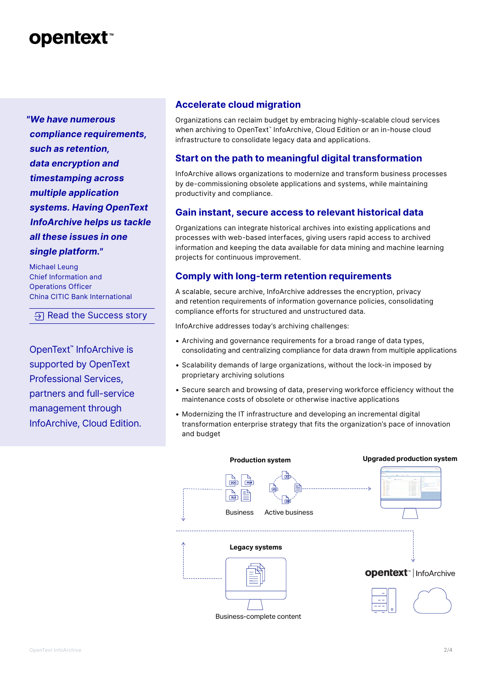### **opentext™**

*"We have numerous compliance requirements, such as retention, data encryption and timestamping across multiple application systems. Having OpenText InfoArchive helps us tackle all these issues in one single platform."*

Michael Leung Chief Information and Operations Officer China CITIC Bank International

 $\overline{P}$  [Read the Success story](https://www.opentext.com/customer-stories/customer-story-detail?id=1407)

OpenText**™** InfoArchive is supported by OpenText Professional Services, partners and full-service management through InfoArchive, Cloud Edition.

### **Accelerate cloud migration**

Organizations can reclaim budget by embracing highly-scalable cloud services when archiving to OpenText™ InfoArchive, Cloud Edition or an in-house cloud infrastructure to consolidate legacy data and applications.

### **Start on the path to meaningful digital transformation**

InfoArchive allows organizations to modernize and transform business processes by de-commissioning obsolete applications and systems, while maintaining productivity and compliance.

### **Gain instant, secure access to relevant historical data**

Organizations can integrate historical archives into existing applications and processes with web-based interfaces, giving users rapid access to archived information and keeping the data available for data mining and machine learning projects for continuous improvement.

### **Comply with long-term retention requirements**

A scalable, secure archive, InfoArchive addresses the encryption, privacy and retention requirements of information governance policies, consolidating compliance efforts for structured and unstructured data.

InfoArchive addresses today's archiving challenges:

- Archiving and governance requirements for a broad range of data types, consolidating and centralizing compliance for data drawn from multiple applications
- Scalability demands of large organizations, without the lock-in imposed by proprietary archiving solutions
- Secure search and browsing of data, preserving workforce efficiency without the maintenance costs of obsolete or otherwise inactive applications
- Modernizing the IT infrastructure and developing an incremental digital transformation enterprise strategy that fits the organization's pace of innovation and budget

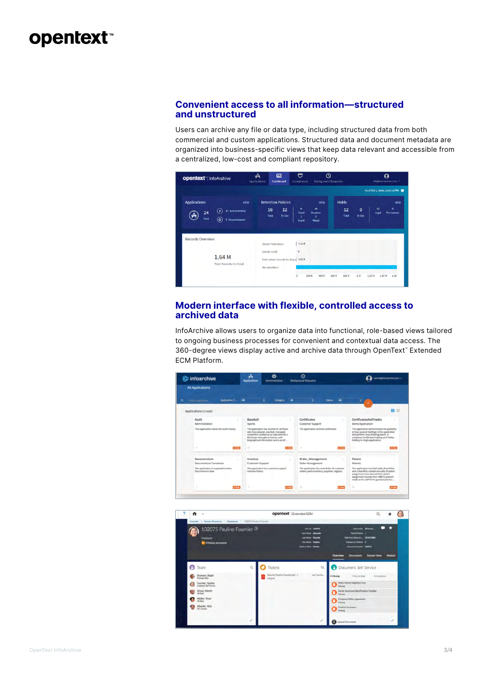### opentext<sup>®</sup>

#### **Convenient access to all information—structured and unstructured**

Users can archive any file or data type, including structured data from both commercial and custom applications. Structured data and document metadata are organized into business-specific views that keep data relevant and accessible from a centralized, low-cost and compliant repository.



#### **Modern interface with flexible, controlled access to archived data**

InfoArchive allows users to organize data into functional, role-based views tailored to ongoing business processes for convenient and contextual data access. The 360-degree views display active and archive data through OpenText™ Extended ECM Platform.